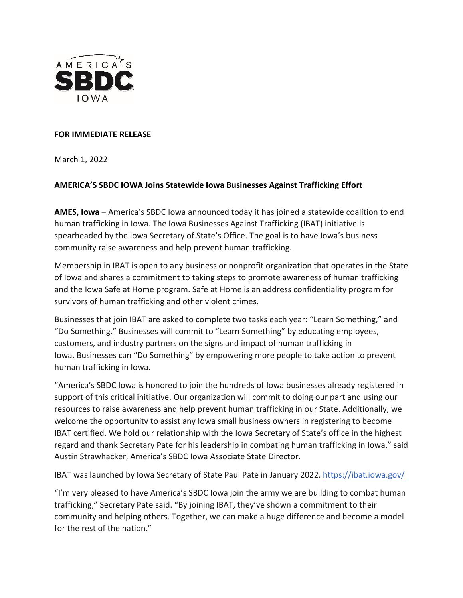

## **FOR IMMEDIATE RELEASE**

March 1, 2022

## **AMERICA'S SBDC IOWA Joins Statewide Iowa Businesses Against Trafficking Effort**

**AMES, Iowa** – America's SBDC Iowa announced today it has joined a statewide coalition to end human trafficking in Iowa. The Iowa Businesses Against Trafficking (IBAT) initiative is spearheaded by the Iowa Secretary of State's Office. The goal is to have Iowa's business community raise awareness and help prevent human trafficking.

Membership in IBAT is open to any business or nonprofit organization that operates in the State of Iowa and shares a commitment to taking steps to promote awareness of human trafficking and the Iowa Safe at Home program. Safe at Home is an address confidentiality program for survivors of human trafficking and other violent crimes.

Businesses that join IBAT are asked to complete two tasks each year: "Learn Something," and "Do Something." Businesses will commit to "Learn Something" by educating employees, customers, and industry partners on the signs and impact of human trafficking in Iowa. Businesses can "Do Something" by empowering more people to take action to prevent human trafficking in Iowa.

"America's SBDC Iowa is honored to join the hundreds of Iowa businesses already registered in support of this critical initiative. Our organization will commit to doing our part and using our resources to raise awareness and help prevent human trafficking in our State. Additionally, we welcome the opportunity to assist any Iowa small business owners in registering to become IBAT certified. We hold our relationship with the Iowa Secretary of State's office in the highest regard and thank Secretary Pate for his leadership in combating human trafficking in Iowa," said Austin Strawhacker, America's SBDC Iowa Associate State Director.

IBAT was launched by Iowa Secretary of State Paul Pate in January 2022. <https://ibat.iowa.gov/>

"I'm very pleased to have America's SBDC Iowa join the army we are building to combat human trafficking," Secretary Pate said. "By joining IBAT, they've shown a commitment to their community and helping others. Together, we can make a huge difference and become a model for the rest of the nation."